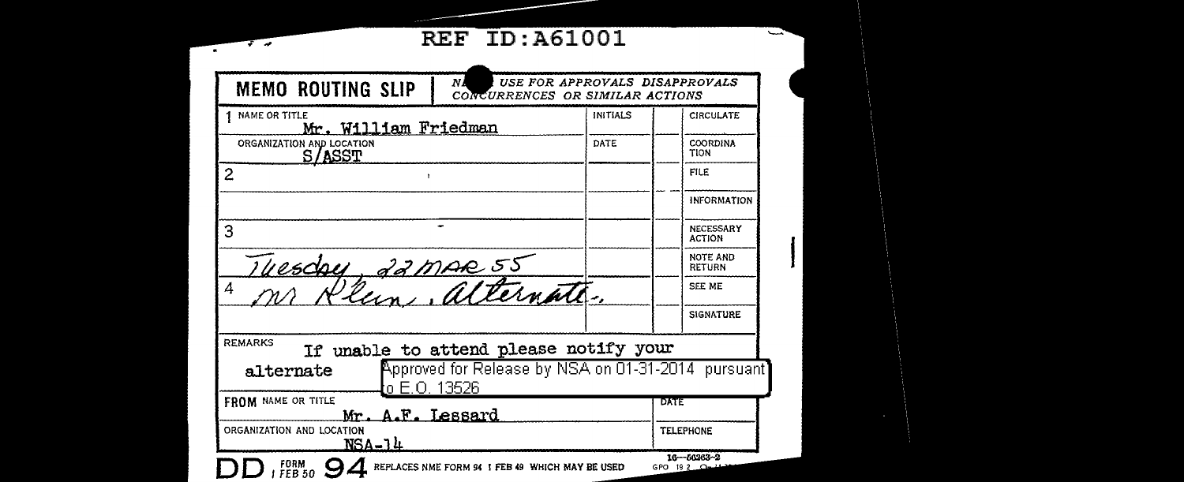## **REF ID: A61001**

 $\overline{f}$ 

 $\sim$ 

ļ

| <b>MEMO ROUTING SLIP</b>                               | NI<br>CONCURRENCES OR SIMILAR ACTIONS                                                        |                                  | USE FOR APPROVALS DISAPPROVALS |
|--------------------------------------------------------|----------------------------------------------------------------------------------------------|----------------------------------|--------------------------------|
| <b>NAME OR TITLE</b><br>Mr. William Friedman           |                                                                                              | INITIALS                         | <b>CIRCULATE</b>               |
| ORGANIZATION AND LOCATION<br>S/ASST                    |                                                                                              | DATE                             | COORDINA<br>TION               |
| $\overline{c}$                                         |                                                                                              |                                  | <b>FILE</b>                    |
|                                                        |                                                                                              |                                  | <b>INFORMATION</b>             |
| 3                                                      |                                                                                              | NECESSARY<br><b>ACTION</b>       |                                |
|                                                        |                                                                                              | <b>NOTE AND</b><br><b>RETURN</b> |                                |
| Thesday, 22 mar 55<br>4                                |                                                                                              |                                  | <b>SEE ME</b>                  |
|                                                        |                                                                                              |                                  | <b>SIGNATURE</b>               |
| <b>REMARKS</b><br>alternate                            | If unable to attend please notify your<br>Approved for Release by NSA on 01-31-2014 pursuant |                                  |                                |
| o E.O. 13526<br>FROM NAME OR TITLE<br>Mr. A.F. Lessard |                                                                                              | DATE                             |                                |
| ORGANIZATION AND LOCATION<br>NSA-14                    |                                                                                              |                                  | <b>TELEPHONE</b>               |
| FORM<br>FEB 50                                         | REPLACES NME FORM 94 I FEB 49 WHICH MAY BE USED                                              |                                  | 16-66263-2<br>GPO 19 2         |

-